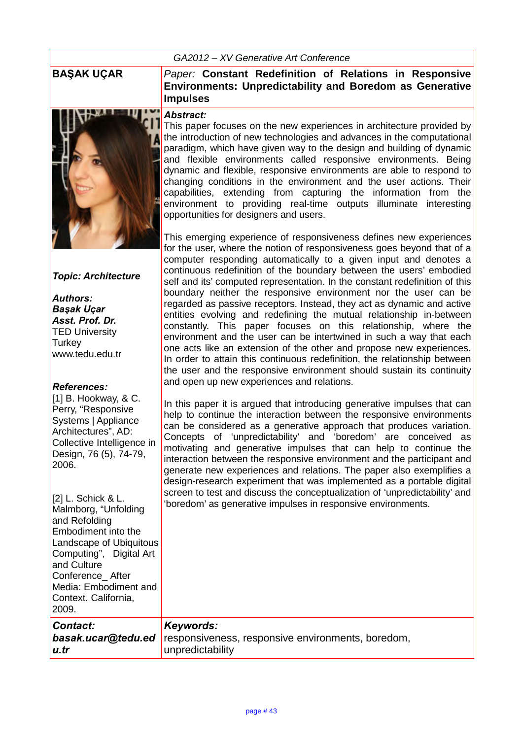#### *GA2012 – XV Generative Art Conference*



*Topic: Architecture*

*Authors: Başak Uçar Asst. Prof. Dr.* TED University **Turkey** www.tedu.edu.tr

#### *References:*

[1] B. Hookway, & C. Perry, "Responsive Systems | Appliance Architectures", AD: Collective Intelligence in Design, 76 (5), 74-79, 2006.

[2] L. Schick & L. Malmborg, "Unfolding and Refolding Embodiment into the Landscape of Ubiquitous Computing", Digital Art and Culture Conference\_ After Media: Embodiment and Context. California, 2009. *Contact:* 

*u.tr*

#### **BAŞAK UÇAR** *Paper:* **Constant Redefinition of Relations in Responsive Environments: Unpredictability and Boredom as Generative Impulses**

#### *Abstract:*

This paper focuses on the new experiences in architecture provided by the introduction of new technologies and advances in the computational paradigm, which have given way to the design and building of dynamic and flexible environments called responsive environments. Being dynamic and flexible, responsive environments are able to respond to changing conditions in the environment and the user actions. Their capabilities, extending from capturing the information from the environment to providing real-time outputs illuminate interesting opportunities for designers and users.

This emerging experience of responsiveness defines new experiences for the user, where the notion of responsiveness goes beyond that of a computer responding automatically to a given input and denotes a continuous redefinition of the boundary between the users' embodied self and its' computed representation. In the constant redefinition of this boundary neither the responsive environment nor the user can be regarded as passive receptors. Instead, they act as dynamic and active entities evolving and redefining the mutual relationship in-between constantly. This paper focuses on this relationship, where the environment and the user can be intertwined in such a way that each one acts like an extension of the other and propose new experiences. In order to attain this continuous redefinition, the relationship between the user and the responsive environment should sustain its continuity and open up new experiences and relations.

In this paper it is argued that introducing generative impulses that can help to continue the interaction between the responsive environments can be considered as a generative approach that produces variation. Concepts of 'unpredictability' and 'boredom' are conceived as motivating and generative impulses that can help to continue the interaction between the responsive environment and the participant and generate new experiences and relations. The paper also exemplifies a design-research experiment that was implemented as a portable digital screen to test and discuss the conceptualization of 'unpredictability' and 'boredom' as generative impulses in responsive environments.

#### *basak.ucar@tedu.ed Keywords:*  responsiveness, responsive environments, boredom, unpredictability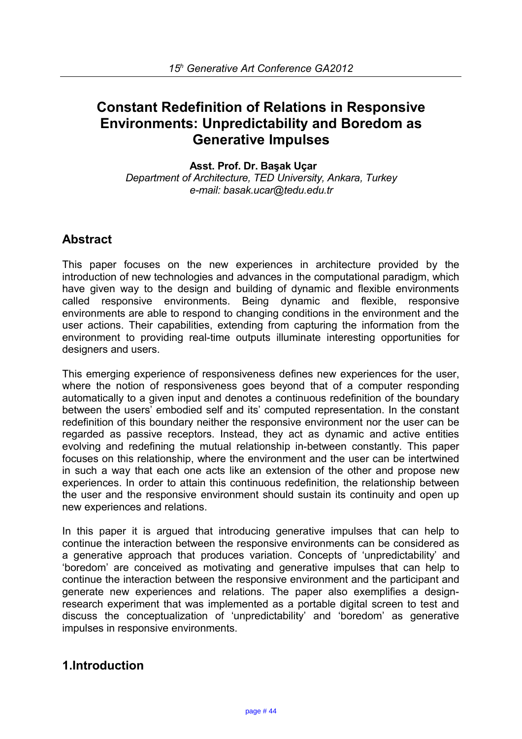# **Constant Redefinition of Relations in Responsive Environments: Unpredictability and Boredom as Generative Impulses**

**Asst. Prof. Dr. Başak Uçar** *Department of Architecture, TED University, Ankara, Turkey e-mail: basak.ucar@tedu.edu.tr*

## **Abstract**

This paper focuses on the new experiences in architecture provided by the introduction of new technologies and advances in the computational paradigm, which have given way to the design and building of dynamic and flexible environments called responsive environments. Being dynamic and flexible, responsive environments are able to respond to changing conditions in the environment and the user actions. Their capabilities, extending from capturing the information from the environment to providing real-time outputs illuminate interesting opportunities for designers and users.

This emerging experience of responsiveness defines new experiences for the user, where the notion of responsiveness goes beyond that of a computer responding automatically to a given input and denotes a continuous redefinition of the boundary between the users' embodied self and its' computed representation. In the constant redefinition of this boundary neither the responsive environment nor the user can be regarded as passive receptors. Instead, they act as dynamic and active entities evolving and redefining the mutual relationship in-between constantly. This paper focuses on this relationship, where the environment and the user can be intertwined in such a way that each one acts like an extension of the other and propose new experiences. In order to attain this continuous redefinition, the relationship between the user and the responsive environment should sustain its continuity and open up new experiences and relations.

In this paper it is argued that introducing generative impulses that can help to continue the interaction between the responsive environments can be considered as a generative approach that produces variation. Concepts of 'unpredictability' and 'boredom' are conceived as motivating and generative impulses that can help to continue the interaction between the responsive environment and the participant and generate new experiences and relations. The paper also exemplifies a designresearch experiment that was implemented as a portable digital screen to test and discuss the conceptualization of 'unpredictability' and 'boredom' as generative impulses in responsive environments.

## **1.Introduction**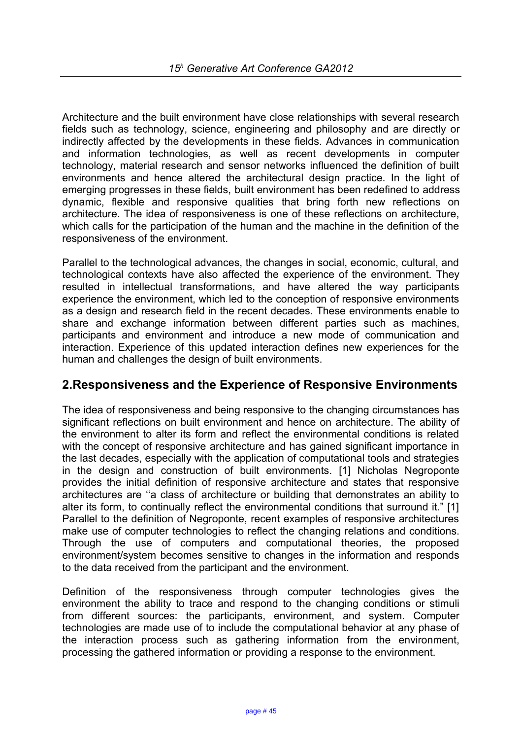Architecture and the built environment have close relationships with several research fields such as technology, science, engineering and philosophy and are directly or indirectly affected by the developments in these fields. Advances in communication and information technologies, as well as recent developments in computer technology, material research and sensor networks influenced the definition of built environments and hence altered the architectural design practice. In the light of emerging progresses in these fields, built environment has been redefined to address dynamic, flexible and responsive qualities that bring forth new reflections on architecture. The idea of responsiveness is one of these reflections on architecture, which calls for the participation of the human and the machine in the definition of the responsiveness of the environment.

Parallel to the technological advances, the changes in social, economic, cultural, and technological contexts have also affected the experience of the environment. They resulted in intellectual transformations, and have altered the way participants experience the environment, which led to the conception of responsive environments as a design and research field in the recent decades. These environments enable to share and exchange information between different parties such as machines, participants and environment and introduce a new mode of communication and interaction. Experience of this updated interaction defines new experiences for the human and challenges the design of built environments.

## **2.Responsiveness and the Experience of Responsive Environments**

The idea of responsiveness and being responsive to the changing circumstances has significant reflections on built environment and hence on architecture. The ability of the environment to alter its form and reflect the environmental conditions is related with the concept of responsive architecture and has gained significant importance in the last decades, especially with the application of computational tools and strategies in the design and construction of built environments. [1] Nicholas Negroponte provides the initial definition of responsive architecture and states that responsive architectures are ''a class of architecture or building that demonstrates an ability to alter its form, to continually reflect the environmental conditions that surround it." [1] Parallel to the definition of Negroponte, recent examples of responsive architectures make use of computer technologies to reflect the changing relations and conditions. Through the use of computers and computational theories, the proposed environment/system becomes sensitive to changes in the information and responds to the data received from the participant and the environment.

Definition of the responsiveness through computer technologies gives the environment the ability to trace and respond to the changing conditions or stimuli from different sources: the participants, environment, and system. Computer technologies are made use of to include the computational behavior at any phase of the interaction process such as gathering information from the environment, processing the gathered information or providing a response to the environment.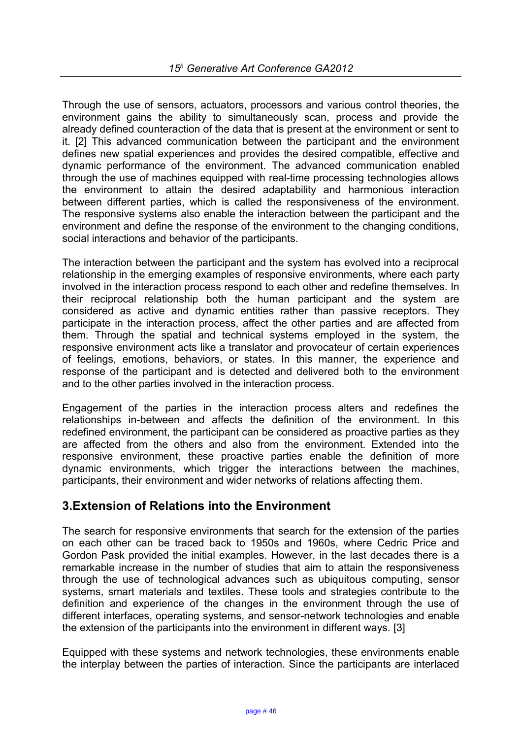Through the use of sensors, actuators, processors and various control theories, the environment gains the ability to simultaneously scan, process and provide the already defined counteraction of the data that is present at the environment or sent to it. [2] This advanced communication between the participant and the environment defines new spatial experiences and provides the desired compatible, effective and dynamic performance of the environment. The advanced communication enabled through the use of machines equipped with real-time processing technologies allows the environment to attain the desired adaptability and harmonious interaction between different parties, which is called the responsiveness of the environment. The responsive systems also enable the interaction between the participant and the environment and define the response of the environment to the changing conditions, social interactions and behavior of the participants.

The interaction between the participant and the system has evolved into a reciprocal relationship in the emerging examples of responsive environments, where each party involved in the interaction process respond to each other and redefine themselves. In their reciprocal relationship both the human participant and the system are considered as active and dynamic entities rather than passive receptors. They participate in the interaction process, affect the other parties and are affected from them. Through the spatial and technical systems employed in the system, the responsive environment acts like a translator and provocateur of certain experiences of feelings, emotions, behaviors, or states. In this manner, the experience and response of the participant and is detected and delivered both to the environment and to the other parties involved in the interaction process.

Engagement of the parties in the interaction process alters and redefines the relationships in-between and affects the definition of the environment. In this redefined environment, the participant can be considered as proactive parties as they are affected from the others and also from the environment. Extended into the responsive environment, these proactive parties enable the definition of more dynamic environments, which trigger the interactions between the machines, participants, their environment and wider networks of relations affecting them.

## **3.Extension of Relations into the Environment**

The search for responsive environments that search for the extension of the parties on each other can be traced back to 1950s and 1960s, where Cedric Price and Gordon Pask provided the initial examples. However, in the last decades there is a remarkable increase in the number of studies that aim to attain the responsiveness through the use of technological advances such as ubiquitous computing, sensor systems, smart materials and textiles. These tools and strategies contribute to the definition and experience of the changes in the environment through the use of different interfaces, operating systems, and sensor-network technologies and enable the extension of the participants into the environment in different ways. [3]

Equipped with these systems and network technologies, these environments enable the interplay between the parties of interaction. Since the participants are interlaced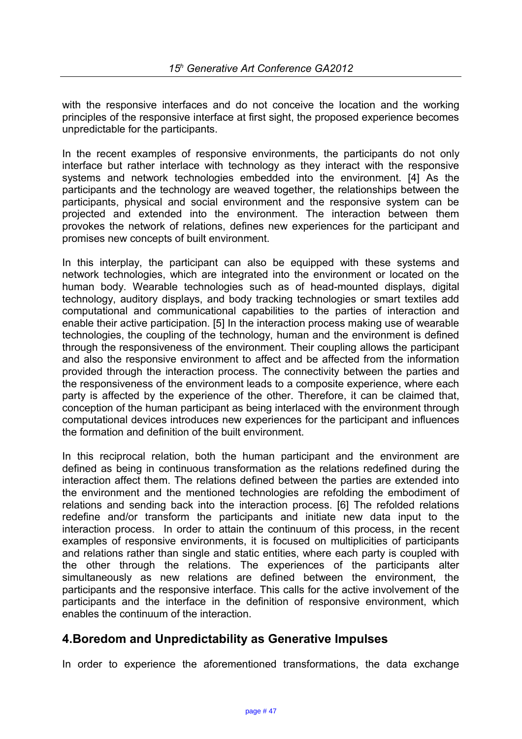with the responsive interfaces and do not conceive the location and the working principles of the responsive interface at first sight, the proposed experience becomes unpredictable for the participants.

In the recent examples of responsive environments, the participants do not only interface but rather interlace with technology as they interact with the responsive systems and network technologies embedded into the environment. [4] As the participants and the technology are weaved together, the relationships between the participants, physical and social environment and the responsive system can be projected and extended into the environment. The interaction between them provokes the network of relations, defines new experiences for the participant and promises new concepts of built environment.

In this interplay, the participant can also be equipped with these systems and network technologies, which are integrated into the environment or located on the human body. Wearable technologies such as of head-mounted displays, digital technology, auditory displays, and body tracking technologies or smart textiles add computational and communicational capabilities to the parties of interaction and enable their active participation. [5] In the interaction process making use of wearable technologies, the coupling of the technology, human and the environment is defined through the responsiveness of the environment. Their coupling allows the participant and also the responsive environment to affect and be affected from the information provided through the interaction process. The connectivity between the parties and the responsiveness of the environment leads to a composite experience, where each party is affected by the experience of the other. Therefore, it can be claimed that, conception of the human participant as being interlaced with the environment through computational devices introduces new experiences for the participant and influences the formation and definition of the built environment.

In this reciprocal relation, both the human participant and the environment are defined as being in continuous transformation as the relations redefined during the interaction affect them. The relations defined between the parties are extended into the environment and the mentioned technologies are refolding the embodiment of relations and sending back into the interaction process. [6] The refolded relations redefine and/or transform the participants and initiate new data input to the interaction process. In order to attain the continuum of this process, in the recent examples of responsive environments, it is focused on multiplicities of participants and relations rather than single and static entities, where each party is coupled with the other through the relations. The experiences of the participants alter simultaneously as new relations are defined between the environment, the participants and the responsive interface. This calls for the active involvement of the participants and the interface in the definition of responsive environment, which enables the continuum of the interaction.

## **4.Boredom and Unpredictability as Generative Impulses**

In order to experience the aforementioned transformations, the data exchange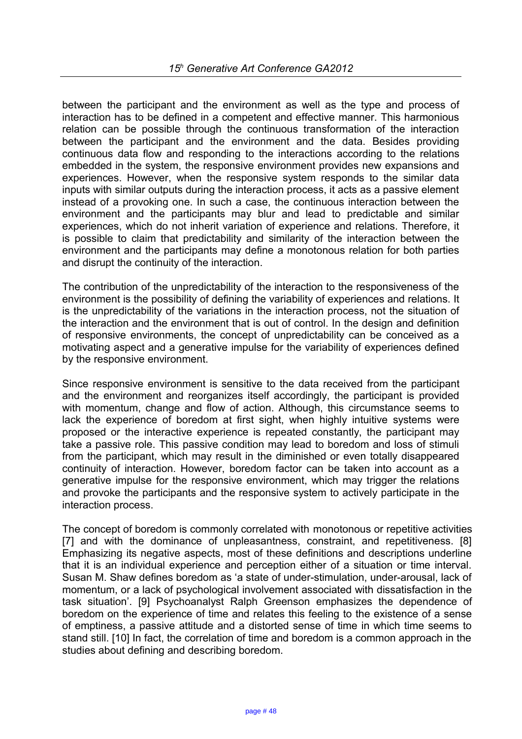between the participant and the environment as well as the type and process of interaction has to be defined in a competent and effective manner. This harmonious relation can be possible through the continuous transformation of the interaction between the participant and the environment and the data. Besides providing continuous data flow and responding to the interactions according to the relations embedded in the system, the responsive environment provides new expansions and experiences. However, when the responsive system responds to the similar data inputs with similar outputs during the interaction process, it acts as a passive element instead of a provoking one. In such a case, the continuous interaction between the environment and the participants may blur and lead to predictable and similar experiences, which do not inherit variation of experience and relations. Therefore, it is possible to claim that predictability and similarity of the interaction between the environment and the participants may define a monotonous relation for both parties and disrupt the continuity of the interaction.

The contribution of the unpredictability of the interaction to the responsiveness of the environment is the possibility of defining the variability of experiences and relations. It is the unpredictability of the variations in the interaction process, not the situation of the interaction and the environment that is out of control. In the design and definition of responsive environments, the concept of unpredictability can be conceived as a motivating aspect and a generative impulse for the variability of experiences defined by the responsive environment.

Since responsive environment is sensitive to the data received from the participant and the environment and reorganizes itself accordingly, the participant is provided with momentum, change and flow of action. Although, this circumstance seems to lack the experience of boredom at first sight, when highly intuitive systems were proposed or the interactive experience is repeated constantly, the participant may take a passive role. This passive condition may lead to boredom and loss of stimuli from the participant, which may result in the diminished or even totally disappeared continuity of interaction. However, boredom factor can be taken into account as a generative impulse for the responsive environment, which may trigger the relations and provoke the participants and the responsive system to actively participate in the interaction process.

The concept of boredom is commonly correlated with monotonous or repetitive activities [7] and with the dominance of unpleasantness, constraint, and repetitiveness. [8] Emphasizing its negative aspects, most of these definitions and descriptions underline that it is an individual experience and perception either of a situation or time interval. Susan M. Shaw defines boredom as 'a state of under-stimulation, under-arousal, lack of momentum, or a lack of psychological involvement associated with dissatisfaction in the task situation'. [9] Psychoanalyst Ralph Greenson emphasizes the dependence of boredom on the experience of time and relates this feeling to the existence of a sense of emptiness, a passive attitude and a distorted sense of time in which time seems to stand still. [10] In fact, the correlation of time and boredom is a common approach in the studies about defining and describing boredom.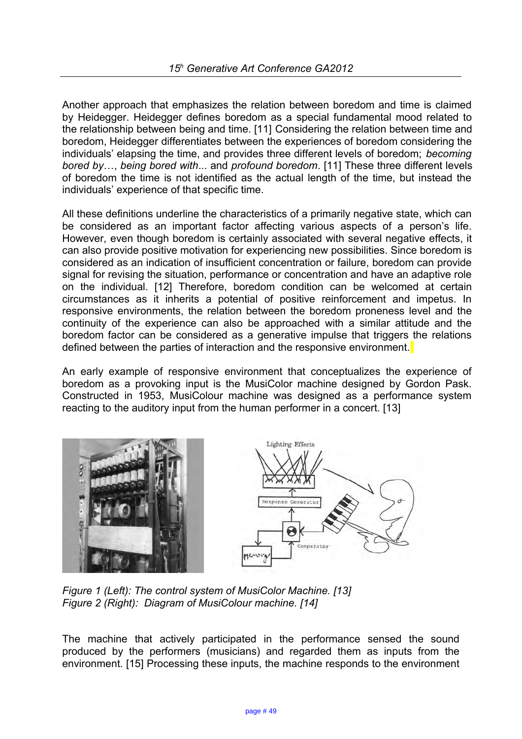Another approach that emphasizes the relation between boredom and time is claimed by Heidegger. Heidegger defines boredom as a special fundamental mood related to the relationship between being and time. [11] Considering the relation between time and boredom, Heidegger differentiates between the experiences of boredom considering the individuals' elapsing the time, and provides three different levels of boredom; *becoming bored by*…, *being bored with*... and *profound boredom*. [11] These three different levels of boredom the time is not identified as the actual length of the time, but instead the individuals' experience of that specific time.

All these definitions underline the characteristics of a primarily negative state, which can be considered as an important factor affecting various aspects of a person's life. However, even though boredom is certainly associated with several negative effects, it can also provide positive motivation for experiencing new possibilities. Since boredom is considered as an indication of insufficient concentration or failure, boredom can provide signal for revising the situation, performance or concentration and have an adaptive role on the individual. [12] Therefore, boredom condition can be welcomed at certain circumstances as it inherits a potential of positive reinforcement and impetus. In responsive environments, the relation between the boredom proneness level and the continuity of the experience can also be approached with a similar attitude and the boredom factor can be considered as a generative impulse that triggers the relations defined between the parties of interaction and the responsive environment.

An early example of responsive environment that conceptualizes the experience of boredom as a provoking input is the MusiColor machine designed by Gordon Pask. Constructed in 1953, MusiColour machine was designed as a performance system reacting to the auditory input from the human performer in a concert. [13]





*Figure 1 (Left): The control system of MusiColor Machine. [13] Figure 2 (Right): Diagram of MusiColour machine. [14]*

The machine that actively participated in the performance sensed the sound produced by the performers (musicians) and regarded them as inputs from the environment. [15] Processing these inputs, the machine responds to the environment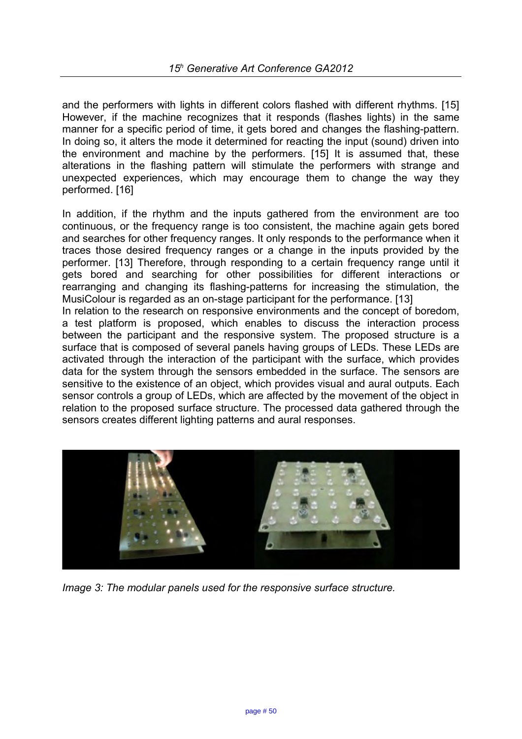and the performers with lights in different colors flashed with different rhythms. [15] However, if the machine recognizes that it responds (flashes lights) in the same manner for a specific period of time, it gets bored and changes the flashing-pattern. In doing so, it alters the mode it determined for reacting the input (sound) driven into the environment and machine by the performers. [15] It is assumed that, these alterations in the flashing pattern will stimulate the performers with strange and unexpected experiences, which may encourage them to change the way they performed. [16]

In addition, if the rhythm and the inputs gathered from the environment are too continuous, or the frequency range is too consistent, the machine again gets bored and searches for other frequency ranges. It only responds to the performance when it traces those desired frequency ranges or a change in the inputs provided by the performer. [13] Therefore, through responding to a certain frequency range until it gets bored and searching for other possibilities for different interactions or rearranging and changing its flashing-patterns for increasing the stimulation, the MusiColour is regarded as an on-stage participant for the performance. [13]

In relation to the research on responsive environments and the concept of boredom, a test platform is proposed, which enables to discuss the interaction process between the participant and the responsive system. The proposed structure is a surface that is composed of several panels having groups of LEDs. These LEDs are activated through the interaction of the participant with the surface, which provides data for the system through the sensors embedded in the surface. The sensors are sensitive to the existence of an object, which provides visual and aural outputs. Each sensor controls a group of LEDs, which are affected by the movement of the object in relation to the proposed surface structure. The processed data gathered through the sensors creates different lighting patterns and aural responses.



*Image 3: The modular panels used for the responsive surface structure.*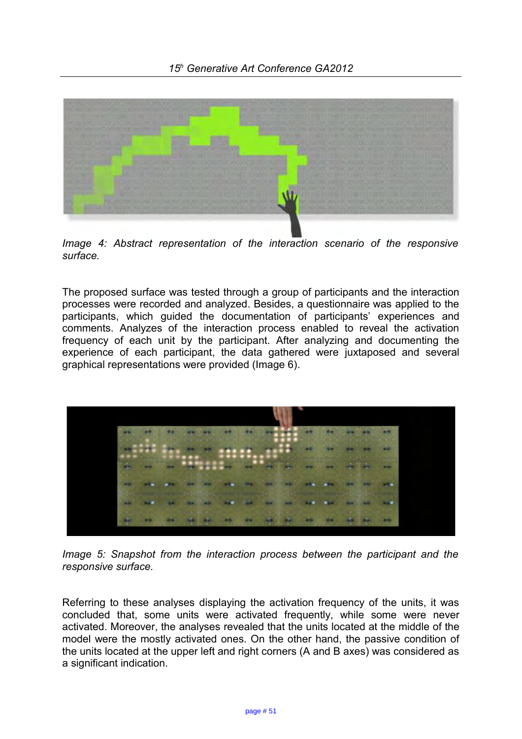

*Image 4: Abstract representation of the interaction scenario of the responsive surface.*

The proposed surface was tested through a group of participants and the interaction processes were recorded and analyzed. Besides, a questionnaire was applied to the participants, which guided the documentation of participants' experiences and comments. Analyzes of the interaction process enabled to reveal the activation frequency of each unit by the participant. After analyzing and documenting the experience of each participant, the data gathered were juxtaposed and several graphical representations were provided (Image 6).



*Image 5: Snapshot from the interaction process between the participant and the responsive surface.*

Referring to these analyses displaying the activation frequency of the units, it was concluded that, some units were activated frequently, while some were never activated. Moreover, the analyses revealed that the units located at the middle of the model were the mostly activated ones. On the other hand, the passive condition of the units located at the upper left and right corners (A and B axes) was considered as a significant indication.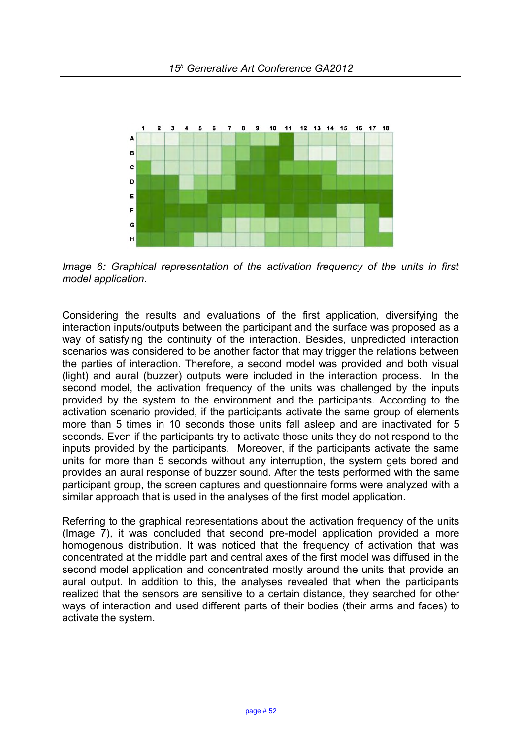

*Image 6: Graphical representation of the activation frequency of the units in first model application.*

Considering the results and evaluations of the first application, diversifying the interaction inputs/outputs between the participant and the surface was proposed as a way of satisfying the continuity of the interaction. Besides, unpredicted interaction scenarios was considered to be another factor that may trigger the relations between the parties of interaction. Therefore, a second model was provided and both visual (light) and aural (buzzer) outputs were included in the interaction process. In the second model, the activation frequency of the units was challenged by the inputs provided by the system to the environment and the participants. According to the activation scenario provided, if the participants activate the same group of elements more than 5 times in 10 seconds those units fall asleep and are inactivated for 5 seconds. Even if the participants try to activate those units they do not respond to the inputs provided by the participants. Moreover, if the participants activate the same units for more than 5 seconds without any interruption, the system gets bored and provides an aural response of buzzer sound. After the tests performed with the same participant group, the screen captures and questionnaire forms were analyzed with a similar approach that is used in the analyses of the first model application.

Referring to the graphical representations about the activation frequency of the units (Image 7), it was concluded that second pre-model application provided a more homogenous distribution. It was noticed that the frequency of activation that was concentrated at the middle part and central axes of the first model was diffused in the second model application and concentrated mostly around the units that provide an aural output. In addition to this, the analyses revealed that when the participants realized that the sensors are sensitive to a certain distance, they searched for other ways of interaction and used different parts of their bodies (their arms and faces) to activate the system.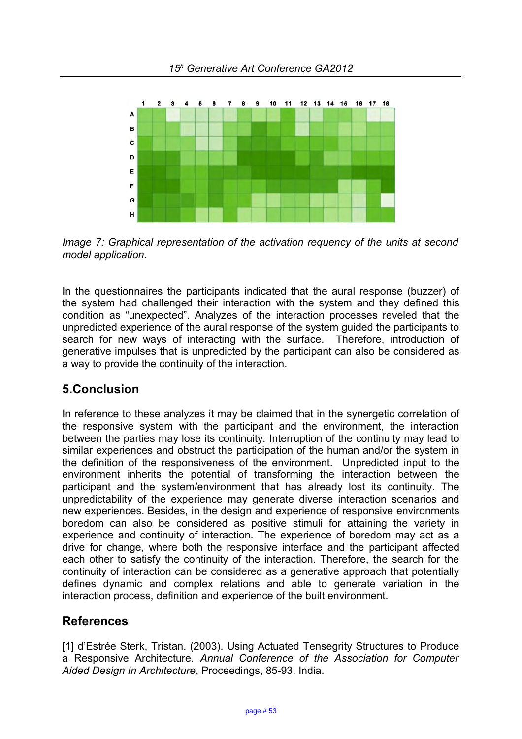

*Image 7: Graphical representation of the activation requency of the units at second model application.*

In the questionnaires the participants indicated that the aural response (buzzer) of the system had challenged their interaction with the system and they defined this condition as "unexpected". Analyzes of the interaction processes reveled that the unpredicted experience of the aural response of the system guided the participants to search for new ways of interacting with the surface. Therefore, introduction of generative impulses that is unpredicted by the participant can also be considered as a way to provide the continuity of the interaction.

## **5.Conclusion**

In reference to these analyzes it may be claimed that in the synergetic correlation of the responsive system with the participant and the environment, the interaction between the parties may lose its continuity. Interruption of the continuity may lead to similar experiences and obstruct the participation of the human and/or the system in the definition of the responsiveness of the environment. Unpredicted input to the environment inherits the potential of transforming the interaction between the participant and the system/environment that has already lost its continuity. The unpredictability of the experience may generate diverse interaction scenarios and new experiences. Besides, in the design and experience of responsive environments boredom can also be considered as positive stimuli for attaining the variety in experience and continuity of interaction. The experience of boredom may act as a drive for change, where both the responsive interface and the participant affected each other to satisfy the continuity of the interaction. Therefore, the search for the continuity of interaction can be considered as a generative approach that potentially defines dynamic and complex relations and able to generate variation in the interaction process, definition and experience of the built environment.

## **References**

[1] d'Estrée Sterk, Tristan. (2003). Using Actuated Tensegrity Structures to Produce a Responsive Architecture. *Annual Conference of the Association for Computer Aided Design In Architecture*, Proceedings, 85-93. India.